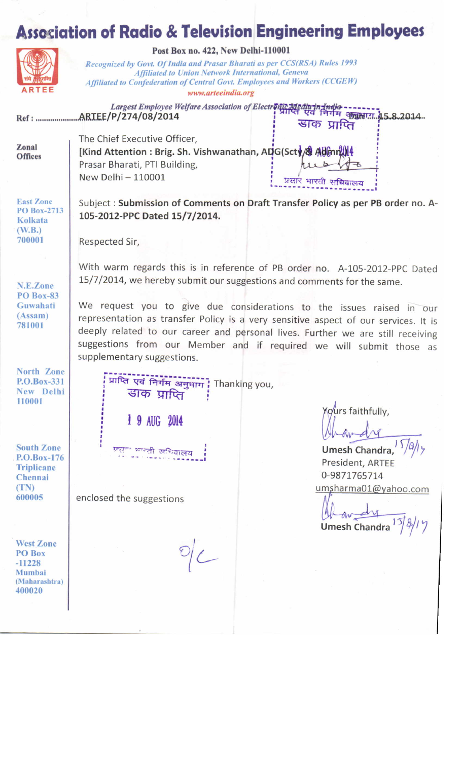## **Association of Radio & Television Engineering Employees**



Post Box no. 422, New Delhi-110001

Recognized by Govt. Of India and Prasar Bharati as per CCS(RSA) Rules 1993 **Affiliated to Union Network International, Geneva** Affiliated to Confederation of Central Govt. Employees and Workers (CCGEW) www.arteeindia.org

Largest Employee Welfare Association of Electronic Media in India -------- 45.8.2014. 

Zonal **Offices**  The Chief Executive Officer, [Kind Attention: Brig. Sh. Vishwanathan, ADG(Scty/& Admn Prasar Bharati, PTI Building, New Delhi - 110001

 $11 b$ प्रसार भारती सचिवालय

डाक प्राप्ति

**East Zone** PO Box-2713 Kolkata  $(W.B.)$ 700001

Subject: Submission of Comments on Draft Transfer Policy as per PB order no. A-105-2012-PPC Dated 15/7/2014.

With warm regards this is in reference of PB order no. A-105-2012-PPC Dated

We request you to give due considerations to the issues raised in our

representation as transfer Policy is a very sensitive aspect of our services. It is

deeply related to our career and personal lives. Further we are still receiving suggestions from our Member and if required we will submit those as

15/7/2014, we hereby submit our suggestions and comments for the same.

Respected Sir,

N.E.Zone **PO Box-83** Guwahati  $(Assam)$ 781001

North Zone P.O.Box-331 New Delhi 110001

प्राप्ति एवं निर्गम अनुभाग | Thanking you, डाक प्राप्ति

1 9 AUG 2014

<sup>न भगवती</sup> समिवालय

एका

supplementary suggestions.

**South Zone** P.O.Box-176 **Triplicane** Chennai  $(TN)$ 600005

**West Zone** PO Box  $-11228$ Mumbai (Maharashtra) 400020

enclosed the suggestions

Yours faithfully,

Umesh Chandra, President, ARTEE 0-9871765714 umsharma01@yahoo.com

**Umesh Chandra**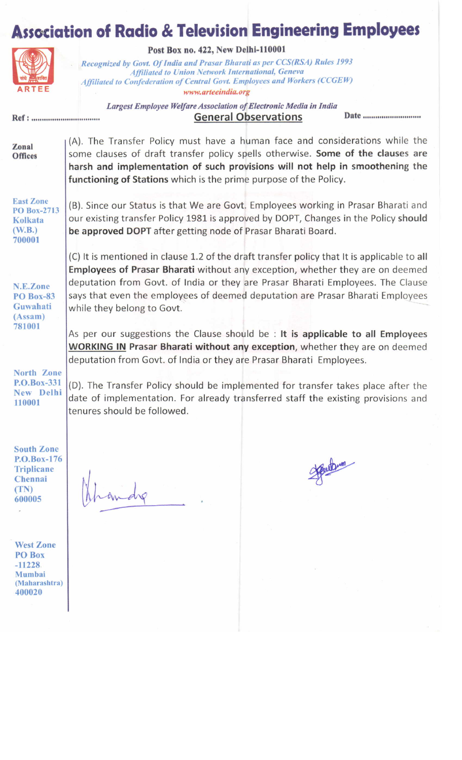## **Association of Radio & Television Engineering Employees**



Ref : .................................

Post Box no. 422, New Delhi-110001

Recognized by Govt. Of India and Prasar Bharati as per CCS(RSA) Rules 1993 Affiliated to Union Network International, Geneva Affiliated to Confederation of Central Govt. Employees and Workers (CCGEW) www.arteeindia.org

Largest Employee Welfare Association of Electronic Media in India General Observations

(A). The Transfer Policy must have a human face and considerations while the Zonal some clauses of draft transfer policy spells otherwise. Some of the clauses are Offices harsh and implementation of such provisions will not help in smoothening the functioning of Stations which is the prime purpose of the Policy. East Zonc (B). Since our Status is that We are Govt. Employees working in Prasar Bharati and PO Box-2713 our existing transfer Policy 1981 is approved by DOPT, Changes in the Policy should Kolkata (w:8.) be approved DOPT after getting node of Prasar Bharati Board. 700001 (C) It is mentioned in clause 1.2 of the draft transfer policy that It is applicable to all Employees of Prasar Bharati without any exception, whether they are on deemed deputation from Govt. of India or they are Prasar Bharati Employees. The Clause N.E.Zone says that even the employees of deemed deputation are Prasar Bharati Employees P0 Box-83 Guwahati while they belong to Govt. (Assam) 781 001 As per our suggestions the Clause should be : It is applicable to all Employees WORKING IN Prasar Bharati without any exception, whether they are on deemed deputation from Govt. of India or they are Prasar Bharati Employees. North Zone P.O.Box-331 (D). The Transfer Policy should be implemented for transfer takes place after the Nen Delhi date of implementation. For already transferred staff the existing provisions and**110001** tenures should be followed. South Zonc Jourbum P.O.Box-176 **Triplicane**  $N_1$   $l_1$ I Chennai (TN)  $ln4$ 600005 West Zone PO Box  $-11228$ Mumbai (Maharashtra) 400020